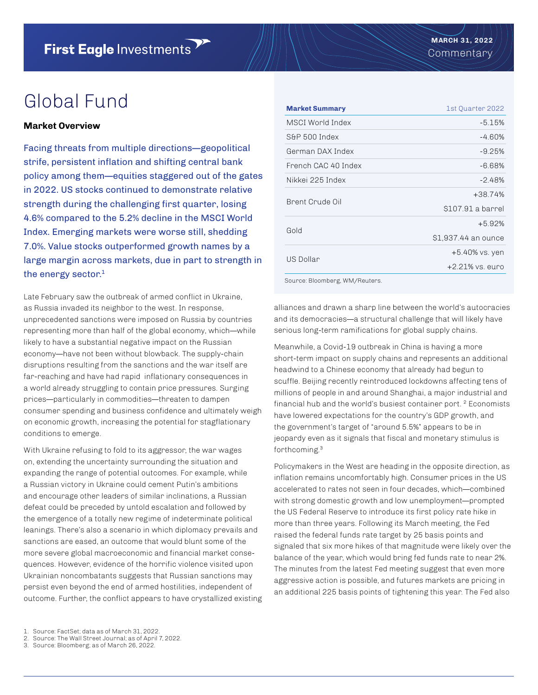# Global Fund

## **Market Overview**

Facing threats from multiple directions—geopolitical strife, persistent inflation and shifting central bank policy among them—equities staggered out of the gates in 2022. US stocks continued to demonstrate relative strength during the challenging first quarter, losing 4.6% compared to the 5.2% decline in the MSCI World Index. Emerging markets were worse still, shedding 7.0%. Value stocks outperformed growth names by a large margin across markets, due in part to strength in the energy sector.<sup>1</sup>

Late February saw the outbreak of armed conflict in Ukraine, as Russia invaded its neighbor to the west. In response, unprecedented sanctions were imposed on Russia by countries representing more than half of the global economy, which—while likely to have a substantial negative impact on the Russian economy—have not been without blowback. The supply-chain disruptions resulting from the sanctions and the war itself are far-reaching and have had rapid inflationary consequences in a world already struggling to contain price pressures. Surging prices—particularly in commodities—threaten to dampen consumer spending and business confidence and ultimately weigh on economic growth, increasing the potential for stagflationary conditions to emerge.

With Ukraine refusing to fold to its aggressor, the war wages on, extending the uncertainty surrounding the situation and expanding the range of potential outcomes. For example, while a Russian victory in Ukraine could cement Putin's ambitions and encourage other leaders of similar inclinations, a Russian defeat could be preceded by untold escalation and followed by the emergence of a totally new regime of indeterminate political leanings. There's also a scenario in which diplomacy prevails and sanctions are eased, an outcome that would blunt some of the more severe global macroeconomic and financial market consequences. However, evidence of the horrific violence visited upon Ukrainian noncombatants suggests that Russian sanctions may persist even beyond the end of armed hostilities, independent of outcome. Further, the conflict appears to have crystallized existing

| <b>Market Summary</b> | 1st Ouarter 2022    |  |  |  |
|-----------------------|---------------------|--|--|--|
| MSCI World Index      | $-5.15%$            |  |  |  |
| S&P 500 Index         | -4.60%              |  |  |  |
| German DAX Index      | $-9.25%$            |  |  |  |
| French CAC 40 Index   | -6.68%              |  |  |  |
| Nikkei 225 Index      | $-2.48%$            |  |  |  |
| Brent Crude Oil       | $+38.74%$           |  |  |  |
|                       | \$107.91 a barrel   |  |  |  |
| <b>Gold</b>           | $+5.92%$            |  |  |  |
|                       | \$1,937.44 an ounce |  |  |  |
| US Dollar             | +5.40% vs. yen      |  |  |  |
|                       | $+2.21\%$ vs. euro  |  |  |  |

Source: Bloomberg, WM/Reuters.

alliances and drawn a sharp line between the world's autocracies and its democracies—a structural challenge that will likely have serious long-term ramifications for global supply chains.

Meanwhile, a Covid-19 outbreak in China is having a more short-term impact on supply chains and represents an additional headwind to a Chinese economy that already had begun to scuffle. Beijing recently reintroduced lockdowns affecting tens of millions of people in and around Shanghai, a major industrial and financial hub and the world's busiest container port. 2 Economists have lowered expectations for the country's GDP growth, and the government's target of "around 5.5%" appears to be in jeopardy even as it signals that fiscal and monetary stimulus is forthcoming.3

Policymakers in the West are heading in the opposite direction, as inflation remains uncomfortably high. Consumer prices in the US accelerated to rates not seen in four decades, which—combined with strong domestic growth and low unemployment—prompted the US Federal Reserve to introduce its first policy rate hike in more than three years. Following its March meeting, the Fed raised the federal funds rate target by 25 basis points and signaled that six more hikes of that magnitude were likely over the balance of the year, which would bring fed funds rate to near 2%. The minutes from the latest Fed meeting suggest that even more aggressive action is possible, and futures markets are pricing in an additional 225 basis points of tightening this year. The Fed also

- 2. Source: The Wall Street Journal; as of April 7, 2022.
- 3. Source: Bloomberg; as of March 26, 2022.

<sup>1.</sup> Source: FactSet; data as of March 31, 2022.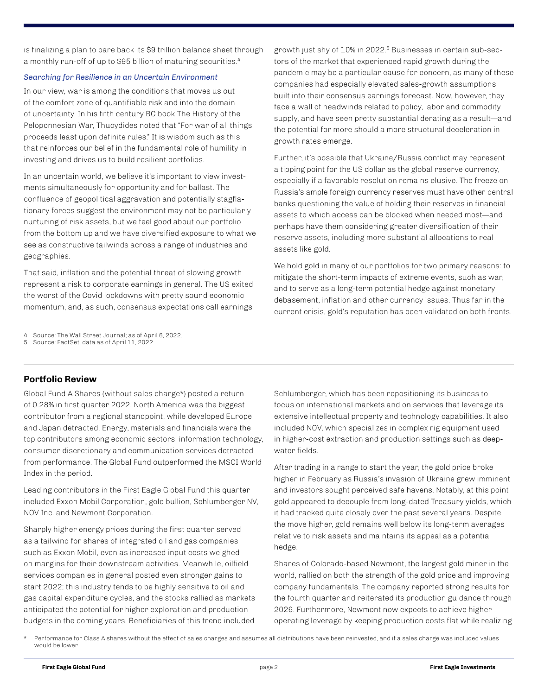is finalizing a plan to pare back its \$9 trillion balance sheet through a monthly run-off of up to \$95 billion of maturing securities.<sup>4</sup>

## *Searching for Resilience in an Uncertain Environment*

In our view, war is among the conditions that moves us out of the comfort zone of quantifiable risk and into the domain of uncertainty. In his fifth century BC book The History of the Peloponnesian War, Thucydides noted that "For war of all things proceeds least upon definite rules." It is wisdom such as this that reinforces our belief in the fundamental role of humility in investing and drives us to build resilient portfolios.

In an uncertain world, we believe it's important to view investments simultaneously for opportunity and for ballast. The confluence of geopolitical aggravation and potentially stagflationary forces suggest the environment may not be particularly nurturing of risk assets, but we feel good about our portfolio from the bottom up and we have diversified exposure to what we see as constructive tailwinds across a range of industries and geographies.

That said, inflation and the potential threat of slowing growth represent a risk to corporate earnings in general. The US exited the worst of the Covid lockdowns with pretty sound economic momentum, and, as such, consensus expectations call earnings

growth just shy of 10% in 2022.5 Businesses in certain sub-sectors of the market that experienced rapid growth during the pandemic may be a particular cause for concern, as many of these companies had especially elevated sales-growth assumptions built into their consensus earnings forecast. Now, however, they face a wall of headwinds related to policy, labor and commodity supply, and have seen pretty substantial derating as a result—and the potential for more should a more structural deceleration in growth rates emerge.

Further, it's possible that Ukraine/Russia conflict may represent a tipping point for the US dollar as the global reserve currency, especially if a favorable resolution remains elusive. The freeze on Russia's ample foreign currency reserves must have other central banks questioning the value of holding their reserves in financial assets to which access can be blocked when needed most—and perhaps have them considering greater diversification of their reserve assets, including more substantial allocations to real assets like gold.

We hold gold in many of our portfolios for two primary reasons: to mitigate the short-term impacts of extreme events, such as war, and to serve as a long-term potential hedge against monetary debasement, inflation and other currency issues. Thus far in the current crisis, gold's reputation has been validated on both fronts.

- 4. Source: The Wall Street Journal; as of April 6, 2022.
- 5. Source: FactSet; data as of April 11, 2022.

# **Portfolio Review**

Global Fund A Shares (without sales charge\*) posted a return of 0.28% in first quarter 2022. North America was the biggest contributor from a regional standpoint, while developed Europe and Japan detracted. Energy, materials and financials were the top contributors among economic sectors; information technology, consumer discretionary and communication services detracted from performance. The Global Fund outperformed the MSCI World Index in the period.

Leading contributors in the First Eagle Global Fund this quarter included Exxon Mobil Corporation, gold bullion, Schlumberger NV, NOV Inc. and Newmont Corporation.

Sharply higher energy prices during the first quarter served as a tailwind for shares of integrated oil and gas companies such as Exxon Mobil, even as increased input costs weighed on margins for their downstream activities. Meanwhile, oilfield services companies in general posted even stronger gains to start 2022; this industry tends to be highly sensitive to oil and gas capital expenditure cycles, and the stocks rallied as markets anticipated the potential for higher exploration and production budgets in the coming years. Beneficiaries of this trend included

Schlumberger, which has been repositioning its business to focus on international markets and on services that leverage its extensive intellectual property and technology capabilities. It also included NOV, which specializes in complex rig equipment used in higher-cost extraction and production settings such as deepwater fields.

After trading in a range to start the year, the gold price broke higher in February as Russia's invasion of Ukraine grew imminent and investors sought perceived safe havens. Notably, at this point gold appeared to decouple from long-dated Treasury yields, which it had tracked quite closely over the past several years. Despite the move higher, gold remains well below its long-term averages relative to risk assets and maintains its appeal as a potential hedge.

Shares of Colorado-based Newmont, the largest gold miner in the world, rallied on both the strength of the gold price and improving company fundamentals. The company reported strong results for the fourth quarter and reiterated its production guidance through 2026. Furthermore, Newmont now expects to achieve higher operating leverage by keeping production costs flat while realizing

Performance for Class A shares without the effect of sales charges and assumes all distributions have been reinvested, and if a sales charge was included values would be lower.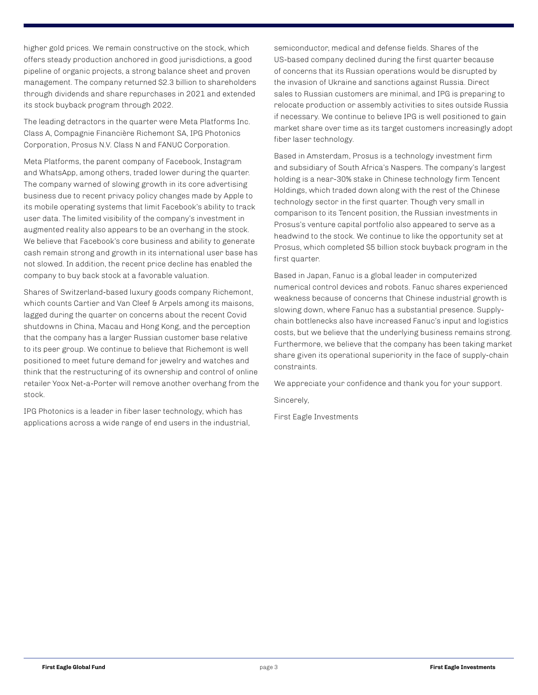higher gold prices. We remain constructive on the stock, which offers steady production anchored in good jurisdictions, a good pipeline of organic projects, a strong balance sheet and proven management. The company returned \$2.3 billion to shareholders through dividends and share repurchases in 2021 and extended its stock buyback program through 2022.

The leading detractors in the quarter were Meta Platforms Inc. Class A, Compagnie Financière Richemont SA, IPG Photonics Corporation, Prosus N.V. Class N and FANUC Corporation.

Meta Platforms, the parent company of Facebook, Instagram and WhatsApp, among others, traded lower during the quarter. The company warned of slowing growth in its core advertising business due to recent privacy policy changes made by Apple to its mobile operating systems that limit Facebook's ability to track user data. The limited visibility of the company's investment in augmented reality also appears to be an overhang in the stock. We believe that Facebook's core business and ability to generate cash remain strong and growth in its international user base has not slowed. In addition, the recent price decline has enabled the company to buy back stock at a favorable valuation.

Shares of Switzerland-based luxury goods company Richemont, which counts Cartier and Van Cleef & Arpels among its maisons, lagged during the quarter on concerns about the recent Covid shutdowns in China, Macau and Hong Kong, and the perception that the company has a larger Russian customer base relative to its peer group. We continue to believe that Richemont is well positioned to meet future demand for jewelry and watches and think that the restructuring of its ownership and control of online retailer Yoox Net-a-Porter will remove another overhang from the stock.

IPG Photonics is a leader in fiber laser technology, which has applications across a wide range of end users in the industrial, semiconductor, medical and defense fields. Shares of the US-based company declined during the first quarter because of concerns that its Russian operations would be disrupted by the invasion of Ukraine and sanctions against Russia. Direct sales to Russian customers are minimal, and IPG is preparing to relocate production or assembly activities to sites outside Russia if necessary. We continue to believe IPG is well positioned to gain market share over time as its target customers increasingly adopt fiber laser technology.

Based in Amsterdam, Prosus is a technology investment firm and subsidiary of South Africa's Naspers. The company's largest holding is a near-30% stake in Chinese technology firm Tencent Holdings, which traded down along with the rest of the Chinese technology sector in the first quarter. Though very small in comparison to its Tencent position, the Russian investments in Prosus's venture capital portfolio also appeared to serve as a headwind to the stock. We continue to like the opportunity set at Prosus, which completed \$5 billion stock buyback program in the first quarter.

Based in Japan, Fanuc is a global leader in computerized numerical control devices and robots. Fanuc shares experienced weakness because of concerns that Chinese industrial growth is slowing down, where Fanuc has a substantial presence. Supplychain bottlenecks also have increased Fanuc's input and logistics costs, but we believe that the underlying business remains strong. Furthermore, we believe that the company has been taking market share given its operational superiority in the face of supply-chain constraints.

We appreciate your confidence and thank you for your support.

Sincerely,

First Eagle Investments